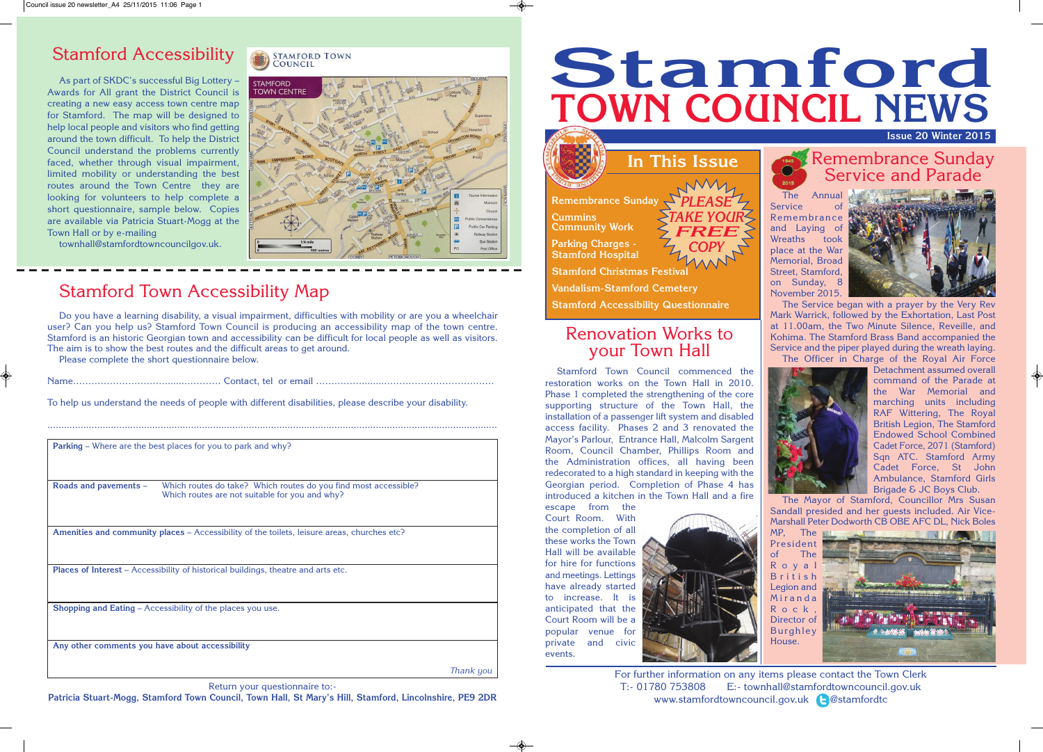**In This Issue**

**Remembrance Sunday Cummins Community Work Parking Charges -**

**Stamford Hospital**

**Stamford Christmas Festival**

For further information on any items please contact the Town Clerk T:- 01780 753808 E:- townhall@stamfordtowncouncil.gov.uk www.stamfordtowncouncil.gov.uk **@**stamfordtc

# Remembrance Sunday<br>Service and Parade

**Vandalism-Stamford Cemetery**

**Stamford Accessibility Questionnaire**

*PLEASE TAKE YOUR FREE COPY*

## **Issue 20 Winter 2015 Stamford TOWN COUNCIL NEWS**

The Annual Service Remembrance and Laying of Wreaths took place at the War Memorial, Broad Street, Stamford, on Sunday, 8 November 2015.



The Service began with a prayer by the Very Rev Mark Warrick, followed by the Exhortation, Last Post at 11.00am, the Two Minute Silence, Reveille, and Kohima. The Stamford Brass Band accompanied the Service and the piper played during the wreath laying. The Officer in Charge of the Royal Air Force



Detachment assumed overall command of the Parade at the War Memorial and marching units including RAF Wittering, The Royal British Legion, The Stamford Endowed School Combined Cadet Force, 2071 (Stamford) Sqn ATC. Stamford Army Cadet Force, St John Ambulance, Stamford Girls Brigade & JC Boys Club.

The Mayor of Stamford, Councillor Mrs Susan Sandall presided and her guests included. Air Vice-Marshall Peter Dodworth CB OBE AFC DL, Nick Boles

MP, The President of The R o y a l B r i t i s h Legion and **M** ir a n d a R o c k Director of Burghley House.



#### Renovation Works to your Town Hall

Stamford Town Council commenced the restoration works on the Town Hall in 2010. Phase 1 completed the strengthening of the core supporting structure of the Town Hall, the installation of a passenger lift system and disabled access facility. Phases 2 and 3 renovated the Mayor's Parlour, Entrance Hall, Malcolm Sargent Room, Council Chamber, Phillips Room and the Administration offices, all having been redecorated to a high standard in keeping with the Georgian period. Completion of Phase 4 has introduced a kitchen in the Town Hall and a fire

escape from the Court Room. With the completion of all these works the Town Hall will be available for hire for functions and meetings. Lettings have already started to increase. It is anticipated that the Court Room will be a popular venue for private and civic events.



## Stamford Accessibility

As part of SKDC's successful Big Lottery – Awards for All grant the District Council is creating a new easy access town centre map for Stamford. The map will be designed to help local people and visitors who find getting around the town difficult. To help the District Council understand the problems currently faced, whether through visual impairment, limited mobility or understanding the best routes around the Town Centre they are looking for volunteers to help complete a short questionnaire, sample below. Copies are available via Patricia Stuart-Mogg at the Town Hall or by e-mailing

townhall@stamfordtowncouncilgov.uk.

#### **STAMFORD TOWN** COUNCIL



## Stamford Town Accessibility Map

Do you have a learning disability, a visual impairment, difficulties with mobility or are you a wheelchair user? Can you help us? Stamford Town Council is producing an accessibility map of the town centre. Stamford is an historic Georgian town and accessibility can be difficult for local people as well as visitors. The aim is to show the best routes and the difficult areas to get around.

Please complete the short questionnaire below.

Name………………………….......………… Contact, tel or email ……………........………………………………

To help us understand the needs of people with different disabilities, please describe your disability.

...................................................................................................................................................................

Return your questionnaire to:-

**Patricia Stuart-Mogg, Stamford Town Council, Town Hall, St Mary's Hill, Stamford, Lincolnshire, PE9 2DR**

|                                                 | Parking - Where are the best places for you to park and why?                                                      |           |
|-------------------------------------------------|-------------------------------------------------------------------------------------------------------------------|-----------|
|                                                 |                                                                                                                   |           |
|                                                 |                                                                                                                   |           |
| Roads and pavements -                           | Which routes do take? Which routes do you find most accessible?<br>Which routes are not suitable for you and why? |           |
|                                                 | Amenities and community places – Accessibility of the toilets, leisure areas, churches etc?                       |           |
|                                                 | <b>Places of Interest</b> – Accessibility of historical buildings, theatre and arts etc.                          |           |
|                                                 | <b>Shopping and Eating - Accessibility of the places you use.</b>                                                 |           |
| Any other comments you have about accessibility |                                                                                                                   |           |
|                                                 |                                                                                                                   | Thank uou |